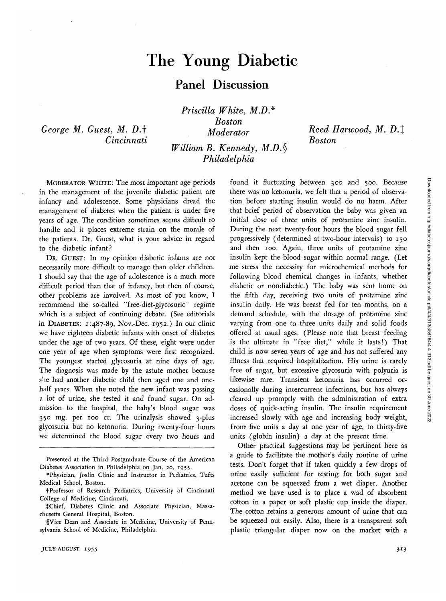## The Young Diabetic

Panel Discussion

*Priscilla White,* M.D.\* *Boston Moderator William B. Kennedy, M.D.§*

*Philadelphia*

*Reed Harwood, M. D.% Boston*

MODERATOR WHITE: The most important age periods in the management of the juvenile diabetic patient are infancy and adolescence. Some physicians dread the management of diabetes when the patient is under five years of age. The condition sometimes seems difficult to handle and it places extreme strain on the morale of the patients. Dr. Guest, what is your advice in regard to the diabetic infant?

*Cincinnati*

*George M. Guest, M. D.*†

DR. GUEST: In my opinion diabetic infants are not necessarily more difficult to manage than older children. I should say that the age of adolescence is a much more difficult period than that of infancy, but then of course, other problems are involved. As most of you know, I recommend the so-called "free-diet-glycosuric" regime which is a subject of continuing debate. (See editorials in DIABETES: 1:487-89, Nov.-Dec. 1952.) In our clinic we have eighteen diabetic infants with onset of diabetes under the age of two years. Of these, eight were under one year of age when symptoms were first recognized. The youngest started glycosuria at nine days of age. The diagnosis was made by the astute mother because she had another diabetic child then aged one and onehalf years. When she noted the new infant was passing *?* lot of urine, she tested it and found sugar. On admission to the hospital, the baby's blood sugar was 350 mg. per 100 cc. The urinalysis showed 3-plus glycosuria but no ketonuria. During twenty-four hours we determined the blood sugar every two hours and

found it fluctuating between 300 and 500. Because there was no ketonuria, we felt that a period of observation before starting insulin would do no harm. After that brief period of observation the baby was given an initial dose of three units of protamine zinc insulin. During the next twenty-four hours the blood sugar fell progressively (determined at two-hour intervals) to 150 and then 100. Again, three units of protamine zinc insulin kept the blood sugar within normal range. (Let me stress the necessity for microchemical methods for following blood chemical changes in infants, whether diabetic or nondiabetic.) The baby was sent home on the fifth day, receiving two units of protamine zinc insulin daily. He was breast fed for ten months, on a demand schedule, with the dosage of protamine zinc varying from one to three units daily and solid foods offered at usual ages. (Please note that breast feeding is the ultimate in "free diet," while it lasts!) That child is now seven years of age and has not suffered any illness that required hospitalization. His urine is rarely free of sugar, but excessive glycosuria with polyuria is likewise rare. Transient ketonuria has occurred occasionally during intercurrent infections, but has always cleared up promptly with the administration of extra doses of quick-acting insulin. The insulin requirement increased slowly with age and increasing body weight, from five units a day at one year of age, to thirty-five units (globin insulin) a day at the present time.

Other practical suggestions may be pertinent here as a guide to facilitate the mother's daily routine of urine tests. Don't forget that if taken quickly a few drops of urine easily sufficient for testing for both sugar and acetone can be squeezed from a wet diaper. Another method we have used is to place a wad of absorbent cotton in a paper or soft plastic cup inside the diaper. The cotton retains a generous amount of urine that can be squeezed out easily. Also, there is a transparent soft plastic triangular diaper now on the market with a

Presented at the Third Postgraduate Course of the American Diabetes Association in Philadelphia on Jan. 20, 1955.

<sup>\*</sup> Physician, Joslin Clinic and Instructor in Pediatrics, Tufts Medical School, Boston.

fProfessor of Research Pediatrics, University of Cincinnati College of Medicine, Cincinnati.

JChief, Diabetes Clinic and Associate Physician, Massachusetts General Hospital, Boston.

<sup>§</sup>Vice Dean and Associate in Medicine, University of Pennsylvania School of Medicine, Philadelphia.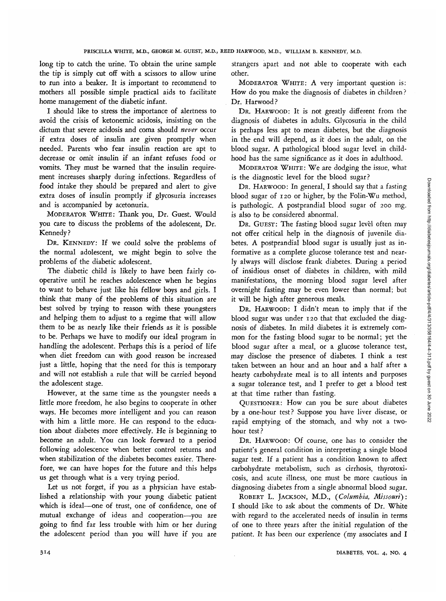long tip to catch the urine. To obtain the urine sample the tip is simply cut off with a scissors to allow urine to run into a beaker. It is important to recommend to mothers all possible simple practical aids to facilitate home management of the diabetic infant.

I should like to stress the importance of alertness to avoid the crisis of ketonemic acidosis, insisting on the dictum that severe acidosis and coma should *never* occur if extra doses of insulin are given promptly when needed. Parents who fear insulin reaction are apt to decrease or omit insulin if an infant refuses food or vomits. They must be warned that the insulin requirement increases sharply during infections. Regardless of food intake they should be prepared and alert to *ghe* extra doses of insulin promptly if glycosuria increases and is accompanied by acetonuria.

MODERATOR WHITE: Thank you, Dr. Guest. Would you care to discuss the problems of the adolescent, Dr. Kennedy ?

DR. KENNEDY: If we could solve the problems of the normal adolescent, we might begin to solve the problems of the diabetic adolescent.

The diabetic child is *likely* to have been fairly cooperative until he reaches adolescence when he begins to want to behave just like his fellow boys and girls. I think that many of the problems of this situation are best solved by trying to reason with these youngsters and helping them to adjust to a regime that will allow them to be as nearly like their friends as it is possible to be. Perhaps we have to modify our ideal program in handling the adolescent. Perhaps this is a period of life when diet freedom can with good reason be increased just a little, hoping that the need for this is temporary and will not establish a rule that will be carried beyond the adolescent stage.

However, at the same time as the youngster needs a little more freedom, he also begins to cooperate in other ways. He becomes more intelligent and you can reason with him a little more. He can respond to the education about diabetes more effectively. He is beginning to become an adult. You can look forward to a period following adolescence when better control returns and when stabilization of the diabetes becomes easier. Therefore, we can have hopes for the future and this helps us *get* through what is a very trying period.

Let us not forget, if you as a physician have established a relationship with your young diabetic patient which is ideal—one of trust, one of confidence, one of mutual exchange of ideas and cooperation—you are going to find far less trouble with him or her during the adolescent period than you will have if you are

strangers apart and not able to cooperate with each other.

MODERATOR WHITE: A very important question is: How do you make the diagnosis of diabetes in children ? Dr. Harwood?

DR. HARWOOD: It is not greatly different from the diagnosis of diabetes in adults. Glycosuria in the child is perhaps less apt to mean diabetes, but the diagnosis in the end will depend, as it does in the adult, on the blood sugar. A pathological blood sugar level in childhood has the same significance as it does in adulthood.

MODERATOR WHITE: We are dodging the issue, what is the diagnostic level for the blood sugar?

DR. HARWOOD: In general, I should say that a fasting blood sugar of 120 or higher, by the Folin-Wu method, is pathologic. A postprandial blood sugar of 200 mg. is also to be considered abnormal.

DR. GUEST: The fasting blood sugar level often may not offer critical help in the diagnosis of juvenile diabetes. A postprandial blood sugar is usually just as informative as a complete glucose tolerance test and nearly always will disclose frank diabetes. During a period of insidious onset of diabetes in children, with mild manifestations, the morning blood sugar level after overnight fasting may be even lower than normal; but it will be high after generous meals.

DR. HARWOOD: I didn't mean to imply that if the blood sugar was under 120 that that excluded the diagnosis of diabetes. In mild diabetes it is extremely common for the fasting blood sugar to be normal; yet the blood sugar after a meal, or a glucose tolerance test, may disclose the presence of diabetes. I think a test taken between an hour and an hour and a half after a hearty carbohydrate meal is to all intents and purposes a sugar tolerance test, and I prefer to *get* a blood test at that time rather than fasting.

QUESTIONER: HOW can you be sure about diabetes by a one-hour test? Suppose you have liver disease, or rapid emptying of the stomach, and why not a twohour test?

DR. HARWOOD: Of course, one has to consider the patient's general condition in interpreting a single blood sugar test. If a patient has a condition known to affect carbohydrate metabolism, such as cirrhosis, thyrotoxicosis, and acute illness, one must be more cautious in diagnosing diabetes from a single abnormal blood sugar.

ROBERT L. JACKSON, M.D., *{Columbia, Missouri):* I should like to ask about the comments of Dr. White with regard to the accelerated needs of insulin in terms of one to three years after the initial regulation of the patient. It has been our experience *(my* associates and I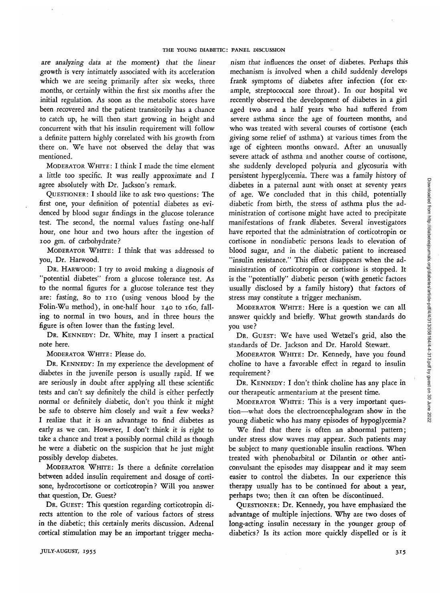are *analyzing data at the moment) that the linear* growth *is* very intimately associated with its acceleration which we are seeing primarily after six weeks, three months, or certainly within the first six months after the initial regulation. As soon as the metabolic stores have been recovered and the patient transitorily has a chance to catch up, he will then start growing in height and concurrent with that his insulin requirement will follow a definite pattern highly correlated with his growth from there on. We have not observed the delay that was mentioned.

MODERATOR WHITE: I think I made the time element a little too specific. *It* was really approximate and I agree absolutely with Dr. Jackson's remark.

QUESTIONER: I should like to ask two questions: The first one, your definition of potential diabetes as evidenced by blood sugar findings in the glucose tolerance test. The second, the normal values fasting one-half hour, one hour and two hours after the ingestion of ioo gm. of carbohydrate?

MODERATOR WHITE: I think that was addressed to you, Dr. Harwood.

DR. HARWOOD: I try to avoid making a diagnosis of "potential diabetes" from a glucose tolerance test. As to the normal figures for a glucose tolerance test they are: fasting, 80 to 110 (using venous blood by the Folin-Wu method), in one-half hour 140 to 160, falling to normal in two hours, and in three hours the figure is often lower than the fasting level.

DR. KENNEDY: Dr. White, may I insert a practical note here.

MODERATOR WHITE: Please do.

DR. KENNEDY: In my experience the development of diabetes in the juvenile person is usually rapid. If we are seriously in doubt after applying all these scientific tests and can't say definitely the child is either perfectly normal or definitely diabetic, don't you think it might be safe to observe him closely and wait a few weeks? I realize that it is an advantage to find diabetes as early as we can. However, I don't think it is right to take a chance and treat a possibly normal child as though he were a diabetic on the suspicion that he just might possibly develop diabetes.

MODERATOR WHITE: IS there a definite correlation between added insulin requirement and dosage of cortisone, hydrocortisone or corticotropin? Will you answer that question, Dr. Guest?

DR. GUEST: This question regarding corticotropin directs attention to the role of various factors of stress in the diabetic; this certainly merits discussion. Adrenal cortical stimulation may be an important trigger mecha-

nism that influences *the* onset of diabetes. Perhaps this mechanism is involved when a child suddenly develops frank symptoms of diabetes after infection (for example, streptococcal sore throat). In our hospital we recently observed the development of diabetes in a girl aged two and a half years who had suffered from severe asthma since the age of fourteen months, and who was treated with several courses of cortisone (each giving some relief of asthma) at various times from the age of eighteen months onward. After an unusually severe attack of asthma and another course of cortisone, she suddenly developed polyuria and glycosuria with persistent hyperglycemia. There was a family history of diabetes in a paternal aunt with onset at seventy years of age. We concluded that in this child, potentially diabetic from birth, the stress of asthma plus the administration of cortisone might have acted to precipitate manifestations of frank diabetes. Several investigators have reported that the administration of corticotropin or cortisone in nondiabetic persons leads to elevation of blood sugar, and in the diabetic patient to increased "insulin resistance." This effect disappears when the administration of corticotropin or cortisone is stopped. It is the "potentially" diabetic person (with genetic factors usually disclosed by a family history) that factors of stress may constitute a trigger mechanism.

MODERATOR WHITE: Here *is* a question we can all answer quickly and briefly. What growth standards do you use?

DR. GUEST: We have used Wetzel's grid, also the standards of Dr. Jackson and Dr. Harold Stewart.

MODERATOR WHITE: Dr. Kennedy, have you found choline to have a favorable effect in regard to insulin requirement ?

DR. KENNEDY: I don't think choline has any place in our therapeutic armentarium at the present time.

MODERATOR WHITE: This is a very important question—what does the electroencephalogram show in the young diabetic who has many episodes of hypoglycemia?

We find that there is often an abnormal pattern; under stress slow waves may appear. Such patients may be subject to many questionable insulin reactions. When treated with phenobarbital or Dilantin or other anticonvulsant the episodes may disappear and it may seem easier to control the diabetes. In our experience this therapy usually has to be continued for about a year, perhaps two; then it can often be discontinued.

QUESTIONER: Dr. Kennedy, you have emphasized the advantage of multiple injections. Why are two doses of long-acting insulin necessary in the younger group of diabetics? Is its action more quickly dispelled or is it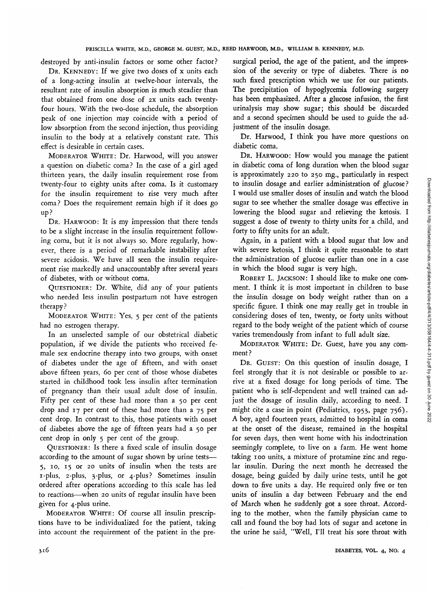destroyed by anti-insulin factors or some other factor?

DR. KENNEDY: If we give two doses of x units each of a long-acting insulin at twelve-hour intervals, the resultant rate of insulin absorption is much steadier than that obtained from one dose of 2X units each twentyfour hours. With the two-dose schedule, the absorption peak of one injection may coincide with a period of low absorption from the second injection, thus providing insulin to the body at a relatively constant rate. This effect is desirable in certain cases.

MODERATOR WHITE: Dr. Harwood, will you answer a question on diabetic coma? In the case of a girl aged thirteen years, the daily insulin requirement rose from twenty-four to eighty units after coma. Is it customary for the insulin requirement to rise very much after coma? Does the requirement remain high if it does go up?

DR. HARWOOD: It is my impression that there tends to be a slight increase in the insulin requirement following coma, but it is not always so. More regularly, however, there is a period of remarkable instability after severe acidosis. We have all seen the insulin requirement rise markedly and unaccountably after several years of diabetes, with or without coma.

QUESTIONER: Dr. White, did any of your patients who needed less insulin postpartum not have estrogen therapy ?

MODERATOR WHITE: Yes, 5 per cent of the patients had no estrogen therapy.

In an unselected sample of our obstetrical diabetic population, if we divide the patients who received female sex endocrine therapy into two groups, with onset of diabetes under the age of fifteen, and with onset above fifteen years, 60 per cent of those whose diabetes started in childhood took less insulin after termination of pregnancy than their usual adult dose of insulin. Fifty per cent of these had more than a 50 per cent drop and 17 per cent of these had more than a 75 per cent drop. In contrast to this, those patients with onset of diabetes above the age of fifteen years had a 50 per cent drop in only 5 per cent of the group.

QUESTIONER: IS there a fixed scale of insulin dosage according to the amount of sugar shown by urine tests— 5, 10, 15 or 20 units of insulin when the tests are i-plus, 2-plus, 3-plus, or 4-plus? Sometimes insulin ordered after operations according to this scale has led to reactions—when 20 units of regular insulin have been given for 4-plus urine.

MODERATOR WHITE: Of course all insulin prescriptions have to be individualized for the patient, taking into account the requirement of the patient in the presurgical period, the age of the patient, and the impression of the severity or type of diabetes. There is no such fixed prescription which we use for our patients. The precipitation of hypoglycemia following surgery has been emphasized. After a glucose infusion, the first urinalysis may show sugar; this should be discarded and a second specimen should be used to guide the adjustment of the insulin dosage.

Dr. Harwood, I think you have more questions on diabetic coma.

DR. HARWOOD: How would you manage the patient in diabetic coma of long duration when the blood sugar is approximately 220 to 250 mg., particularly in respect to insulin dosage and earlier administration of glucose? I would use smaller doses of insulin and watch the blood sugar to see whether the smaller dosage was effective in lowering the blood sugar and relieving the ketosis. I suggest a dose of twenty to thirty units for a child, and forty to fifty units for an adult.

Again, in a patient with a blood sugar that low and with severe ketosis, I think it quite reasonable to start the administration of glucose earlier than one in a case in which the blood sugar is very high.

ROBERT L. JACKSON: I should like to make one comment. I think it is most important in children to base the insulin dosage on body weight rather than on a specific figure. I think one may really get in trouble in considering doses of ten, twenty, or forty units without regard to the body weight of the patient which of course varies tremendously from infant to full adult size.

MODERATOR WHITE: Dr. Guest, have you any comment?

DR. GUEST: On this question of insulin dosage, I feel strongly that it is not desirable or possible to arrive at a fixed dosage for long periods of time. The patient who is self-dependent and well trained can adjust the dosage of insulin daily, according to need. I might cite a case in point (Pediatrics, 1953, page 756). A boy, aged fourteen years, admitted to hospital in coma at the onset of the disease, remained in the hospital for seven days, then went home with his indoctrination seemingly complete, to live on a farm. He went home taking 100 units, a mixture of protamine zinc and regular insulin. During the next month he decreased the dosage, being guided by daily urine tests, until he got down to five units a day. He required only five or ten units of insulin a day between February and the end of March when he suddenly got a sore throat. According to the mother, when the family physician came to call and found the boy had lots of sugar and acetone in the urine he said, "Well, I'll treat his sore throat with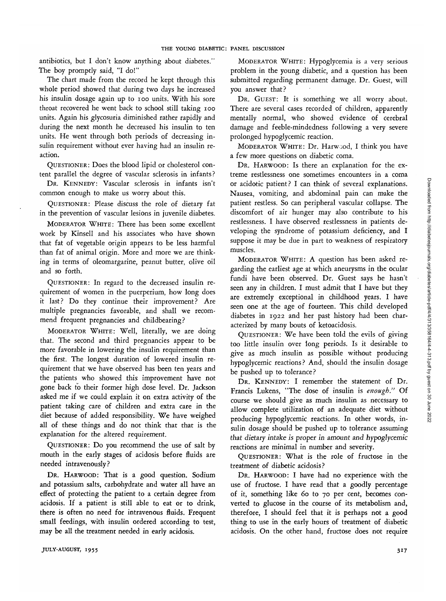antibiotics, but I don't know anything about diabetes." The boy promptly said, "I do!"

The chart made from the record he kept through this whole period showed that during two days he increased his insulin dosage again up to ioo units. With his sore throat recovered he went back to school still taking ioo units. Again his glycosuria diminished rather rapidly and during the next month he decreased his insulin to ten units. He went through both periods of decreasing insulin requirement without ever having had an insulin reaction.

QUESTIONER: Does the blood lipid or cholesterol content parallel the degree of vascular sclerosis in infants?

DR. KENNEDY: Vascular sclerosis in infants isn't common enough to make us worry about this.

QUESTIONER: Please discuss the role of dietary fat in the prevention of vascular lesions in juvenile diabetes.

MODERATOR WHITE: There has been some excellent work by Kinsell and his associates who have shown that fat of vegetable origin appears to be less harmful than fat of animal origin. More and more we are thinking in terms of oleomargarine, peanut butter, olive oil and so forth.

QUESTIONER: In regard to the decreased insulin requirement of women in the puerperium, how long does it last? Do they continue their improvement? Are multiple pregnancies favorable, and shall we recommend frequent pregnancies and childbearing ?

MODERATOR WHITE: Well, literally, we are doing that. The second and third pregnancies appear to be more favorable in lowering the insulin requirement than the first. The longest duration of lowered insulin requirement that we have observed has been ten years and the patients who showed this improvement have not gone back to their former high dose level. Dr. Jackson asked me if we could explain it on extra activity of the patient taking care of children and extra care in the diet because of added responsibility. We have weighed all of these things and do not think that that is the explanation for the altered requirement.

QUESTIONER: DO you recommend the use of salt by mouth in the early stages of acidosis before fluids are needed intravenously?

DR. HARWOOD: That is a good question. Sodium and potassium salts, carbohydrate and water all have an effect of protecting the patient to a certain degree from acidosis. If a patient is still able to eat or to drink, there is often no need for intravenous fluids. Frequent small feedings, with insulin ordered according to test, may be all the treatment needed in early acidosis.

MODERATOR WHITE: Hypoglycemia is a very serious problem in the young diabetic, and a question has been submitted regarding permanent damage. Dr. Guest, will you answer that?

DR. GUEST: It is something we all worry about. There are several cases recorded of children, apparently mentally normal, who showed evidence of cerebral damage and feeble-mindedness following a very severe prolonged hypoglycemic reaction.

MODERATOR WHITE: Dr. Harwood, I think you have a few more questions on diabetic coma.

DR. HARWOOD: IS there an explanation for the extreme restlessness one sometimes encounters in a coma or acidotic patient? I can think of several explanations. Nausea, vomiting, and abdominal pain can make the patient restless. So can peripheral vascular collapse. The discomfort of air hunger may also contribute to his restlessness. I have observed restlessness in patients developing the syndrome of potassium deficiency, and I suppose it may be due in part to weakness of respiratory muscles.

MODERATOR WHITE: A question has been asked regarding the earliest age at which aneurysms in the ocular fundi have been observed. Dr. Guest says he hasn't seen any in children. I must admit that I have but they are extremely exceptional in childhood years. I have seen one at the age of fourteen. This child developed diabetes in 1922 and her past history had been characterized by many bouts of ketoacidosis.

QUESTIONER: We have been told the evils of giving too little insulin over long periods. Is it desirable to give as much insulin as possible without producing hypoglycemic reactions? And, should the insulin dosage be pushed up to tolerance?

DR. KENNEDY: I remember the statement of Dr. Francis Lukens, "The dose of insulin is *enough."* Of course we should give as much insulin as necessary to allow complete utilization of an adequate diet without producing hypoglycemic reactions. In other words, insulin dosage should be pushed up to tolerance assuming *that dietary intake is* proper in amount *and hypoglycemic* reactions are minimal in number and severity.

QUESTIONER: What is the role of fructose in the treatment of diabetic acidosis?

DR. HARWOOD: I have had no experience with the use of fructose. I have read that a goodly percentage of it, something like 60 to 70 per cent, becomes converted to glucose in the course of its metabolism and, therefore, I should feel that it is perhaps not a good thing to use in the early hours of treatment of diabetic acidosis. On the other hand, fructose does not require